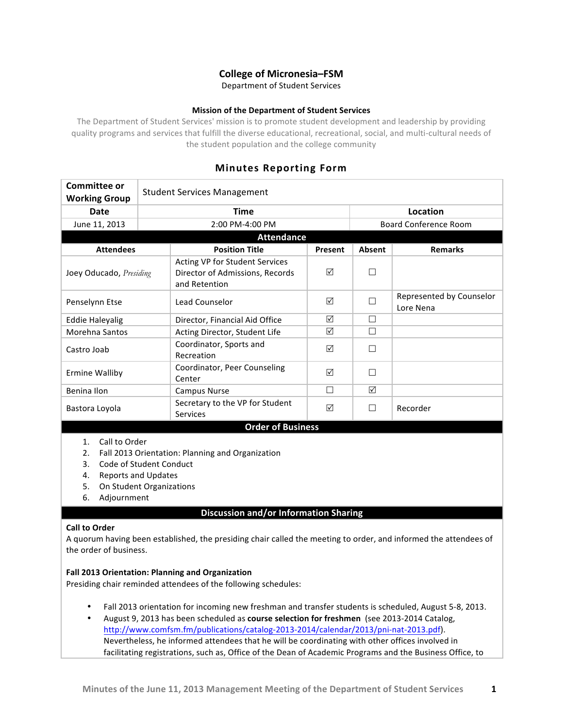# **College of Micronesia–FSM**

Department of Student Services

## **Mission of the Department of Student Services**

The Department of Student Services' mission is to promote student development and leadership by providing quality programs and services that fulfill the diverse educational, recreational, social, and multi-cultural needs of the student population and the college community

# **Minutes Reporting Form**

| <b>Committee or</b><br><b>Working Group</b>                                                                                                                                                                                                                                              | <b>Student Services Management</b> |                                                                                    |          |                              |                                       |  |  |
|------------------------------------------------------------------------------------------------------------------------------------------------------------------------------------------------------------------------------------------------------------------------------------------|------------------------------------|------------------------------------------------------------------------------------|----------|------------------------------|---------------------------------------|--|--|
| Date                                                                                                                                                                                                                                                                                     |                                    | Time                                                                               | Location |                              |                                       |  |  |
| June 11, 2013                                                                                                                                                                                                                                                                            |                                    | 2:00 PM-4:00 PM                                                                    |          | <b>Board Conference Room</b> |                                       |  |  |
| <b>Attendance</b>                                                                                                                                                                                                                                                                        |                                    |                                                                                    |          |                              |                                       |  |  |
| <b>Attendees</b>                                                                                                                                                                                                                                                                         |                                    | <b>Position Title</b>                                                              | Present  | Absent                       | <b>Remarks</b>                        |  |  |
| Joey Oducado, Presiding                                                                                                                                                                                                                                                                  |                                    | Acting VP for Student Services<br>Director of Admissions, Records<br>and Retention | ☑        | $\Box$                       |                                       |  |  |
| Penselynn Etse                                                                                                                                                                                                                                                                           |                                    | Lead Counselor                                                                     | ☑        | $\Box$                       | Represented by Counselor<br>Lore Nena |  |  |
| <b>Eddie Haleyalig</b>                                                                                                                                                                                                                                                                   |                                    | Director, Financial Aid Office                                                     | ☑        | □                            |                                       |  |  |
| Morehna Santos                                                                                                                                                                                                                                                                           |                                    | Acting Director, Student Life                                                      | ☑        | П                            |                                       |  |  |
| Castro Joab                                                                                                                                                                                                                                                                              |                                    | Coordinator, Sports and<br>Recreation                                              | ☑        | □                            |                                       |  |  |
| <b>Ermine Walliby</b>                                                                                                                                                                                                                                                                    |                                    | Coordinator, Peer Counseling<br>Center                                             | ☑        | $\Box$                       |                                       |  |  |
| Benina Ilon                                                                                                                                                                                                                                                                              |                                    | <b>Campus Nurse</b>                                                                | $\Box$   | ☑                            |                                       |  |  |
| Bastora Loyola                                                                                                                                                                                                                                                                           |                                    | Secretary to the VP for Student<br>Services                                        | $\Delta$ | $\Box$                       | Recorder                              |  |  |
| <b>Order of Business</b><br>Call to Order<br>1.<br>2.<br>Fall 2013 Orientation: Planning and Organization<br>Code of Student Conduct<br>3.<br><b>Reports and Updates</b><br>4.<br>On Student Organizations<br>5.<br>Adjournment<br>6.                                                    |                                    |                                                                                    |          |                              |                                       |  |  |
|                                                                                                                                                                                                                                                                                          |                                    | <b>Discussion and/or Information Sharing</b>                                       |          |                              |                                       |  |  |
| <b>Call to Order</b><br>A quorum having been established, the presiding chair called the meeting to order, and informed the attendees of<br>the order of business.<br>Fall 2013 Orientation: Planning and Organization<br>Presiding chair reminded attendees of the following schedules: |                                    |                                                                                    |          |                              |                                       |  |  |
| Fall 2013 orientation for incoming new freshman and transfer students is scheduled, August 5-8, 2013.<br>August 9, 2013 has been scheduled as course selection for freshmen (see 2013-2014 Catalog,                                                                                      |                                    |                                                                                    |          |                              |                                       |  |  |

http://www.comfsm.fm/publications/catalog-2013-2014/calendar/2013/pni-nat-2013.pdf). Nevertheless, he informed attendees that he will be coordinating with other offices involved in facilitating registrations, such as, Office of the Dean of Academic Programs and the Business Office, to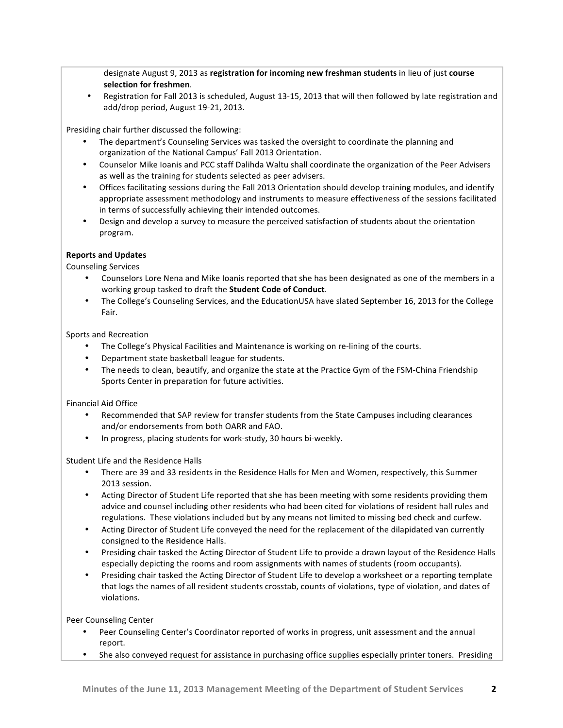designate August 9, 2013 as registration for incoming new freshman students in lieu of just course selection for freshmen.

Registration for Fall 2013 is scheduled, August 13-15, 2013 that will then followed by late registration and add/drop period, August 19-21, 2013.

Presiding chair further discussed the following:

- The department's Counseling Services was tasked the oversight to coordinate the planning and organization of the National Campus' Fall 2013 Orientation.
- Counselor Mike Ioanis and PCC staff Dalihda Waltu shall coordinate the organization of the Peer Advisers as well as the training for students selected as peer advisers.
- Offices facilitating sessions during the Fall 2013 Orientation should develop training modules, and identify appropriate assessment methodology and instruments to measure effectiveness of the sessions facilitated in terms of successfully achieving their intended outcomes.
- Design and develop a survey to measure the perceived satisfaction of students about the orientation program.

### **Reports and Updates**

Counseling Services

- Counselors Lore Nena and Mike Ioanis reported that she has been designated as one of the members in a working group tasked to draft the **Student Code of Conduct**.
- The College's Counseling Services, and the EducationUSA have slated September 16, 2013 for the College Fair.

Sports and Recreation

- The College's Physical Facilities and Maintenance is working on re-lining of the courts.
- Department state basketball league for students.
- The needs to clean, beautify, and organize the state at the Practice Gym of the FSM-China Friendship Sports Center in preparation for future activities.

Financial Aid Office

- Recommended that SAP review for transfer students from the State Campuses including clearances and/or endorsements from both OARR and FAO.
- In progress, placing students for work-study, 30 hours bi-weekly.

Student Life and the Residence Halls

- There are 39 and 33 residents in the Residence Halls for Men and Women, respectively, this Summer 2013 session.
- Acting Director of Student Life reported that she has been meeting with some residents providing them advice and counsel including other residents who had been cited for violations of resident hall rules and regulations. These violations included but by any means not limited to missing bed check and curfew.
- Acting Director of Student Life conveyed the need for the replacement of the dilapidated van currently consigned to the Residence Halls.
- Presiding chair tasked the Acting Director of Student Life to provide a drawn layout of the Residence Halls especially depicting the rooms and room assignments with names of students (room occupants).
- Presiding chair tasked the Acting Director of Student Life to develop a worksheet or a reporting template that logs the names of all resident students crosstab, counts of violations, type of violation, and dates of violations.

Peer Counseling Center

- Peer Counseling Center's Coordinator reported of works in progress, unit assessment and the annual report.
- She also conveyed request for assistance in purchasing office supplies especially printer toners. Presiding